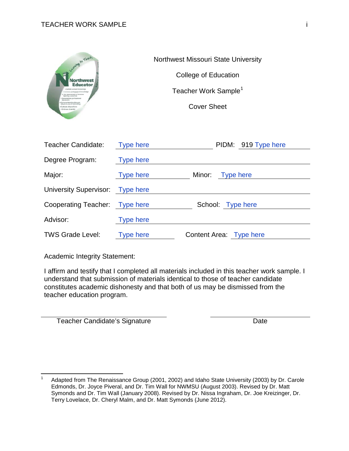

Northwest Missouri State University College of Education Teacher Work Sample<sup>[1](#page-0-0)</sup> Cover Sheet

| Teacher Candidate:               | <b>Type here</b> | PIDM: 919 Type here     |
|----------------------------------|------------------|-------------------------|
| Degree Program:                  | <b>Type here</b> |                         |
| Major:                           | <b>Type here</b> | Minor: Type here        |
| University Supervisor: Type here |                  |                         |
| Cooperating Teacher: Type here   |                  | School: Type here       |
| Advisor:                         | <b>Type here</b> |                         |
| <b>TWS Grade Level:</b>          | <b>Type here</b> | Content Area: Type here |

Academic Integrity Statement:

 $\overline{\phantom{0}}$ 

I affirm and testify that I completed all materials included in this teacher work sample. I understand that submission of materials identical to those of teacher candidate constitutes academic dishonesty and that both of us may be dismissed from the teacher education program.

Teacher Candidate's Signature Date

<span id="page-0-0"></span><sup>1</sup> Adapted from The Renaissance Group (2001, 2002) and Idaho State University (2003) by Dr. Carole Edmonds, Dr. Joyce Piveral, and Dr. Tim Wall for NWMSU (August 2003). Revised by Dr. Matt Symonds and Dr. Tim Wall (January 2008). Revised by Dr. Nissa Ingraham, Dr. Joe Kreizinger, Dr. Terry Lovelace, Dr. Cheryl Malm, and Dr. Matt Symonds (June 2012).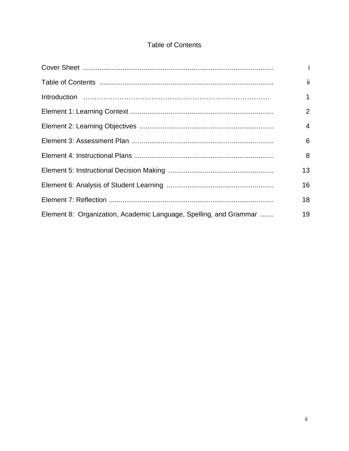# **Table of Contents**

|                                                                   | i.             |
|-------------------------------------------------------------------|----------------|
|                                                                   | ii.            |
|                                                                   | 1              |
|                                                                   | 2              |
|                                                                   | $\overline{4}$ |
|                                                                   | 6              |
|                                                                   | 8              |
|                                                                   | 13             |
|                                                                   | 16             |
|                                                                   | 18             |
| Element 8: Organization, Academic Language, Spelling, and Grammar | 19             |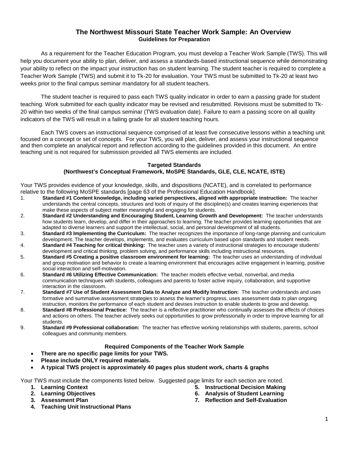### **The Northwest Missouri State Teacher Work Sample: An Overview Guidelines for Preparation**

As a requirement for the Teacher Education Program, you must develop a Teacher Work Sample (TWS). This will help you document your ability to plan, deliver, and assess a standards-based instructional sequence while demonstrating your ability to reflect on the impact your instruction has on student learning. The student teacher is required to complete a Teacher Work Sample (TWS) and submit it to Tk-20 for evaluation. Your TWS must be submitted to Tk-20 at least two weeks prior to the final campus seminar mandatory for all student teachers.

The student teacher is required to pass each TWS quality indicator in order to earn a passing grade for student teaching. Work submitted for each quality indicator may be revised and resubmitted. Revisions must be submitted to Tk-20 within two weeks of the final campus seminar (TWS evaluation date). Failure to earn a passing score on all quality indicators of the TWS will result in a failing grade for all student teaching hours.

Each TWS covers an instructional sequence comprised of at least five consecutive lessons within a teaching unit focused on a concept or set of concepts. For your TWS, you will plan, deliver, and assess your instructional sequence and then complete an analytical report and reflection according to the guidelines provided in this document. An entire teaching unit is not required for submission provided all TWS elements are included.

#### **Targeted Standards (Northwest's Conceptual Framework, MoSPE Standards, GLE, CLE, NCATE, ISTE)**

Your TWS provides evidence of your knowledge, skills, and dispositions (NCATE), and is correlated to performance relative to the following MoSPE standards [page 63 of the Professional Education Handbook].

- 1. **Standard #1 Content knowledge, including varied perspectives, aligned with appropriate instruction:** The teacher understands the central concepts, structures and tools of inquiry of the discipline(s) and creates learning experiences that make these aspects of subject matter meaningful and engaging for students.
- 2. **Standard #2 Understanding and Encouraging Student, Learning Growth and Development:** The teacher understands how students learn, develop, and differ in their approaches to learning. The teacher provides learning opportunities that are adapted to diverse learners and support the intellectual, social, and personal development of all students.
- 3. **Standard #3 Implementing the Curriculum:** The teacher recognizes the importance of long-range planning and curriculum development. The teacher develops, implements, and evaluates curriculum based upon standards and student needs.
- 4. **Standard #4 Teaching for critical thinking:** The teacher uses a variety of instructional strategies to encourage students' development and critical thinking, problem solving, and performance skills including instructional resources.
- 5. **Standard #5 Creating a positive classroom environment for learning:** The teacher uses an understanding of individual and group motivation and behavior to create a learning environment that encourages active engagement in learning, positive social interaction and self-motivation.
- 6. **Standard #6 Utilizing Effective Communication:** The teacher models effective verbal, nonverbal, and media communication techniques with students, colleagues and parents to foster active inquiry, collaboration, and supportive interaction in the classroom.
- 7. **Standard #7 Use of Student Assessment Data to Analyze and Modify Instruction:** The teacher understands and uses formative and summative assessment strategies to assess the learner's progress, uses assessment data to plan ongoing instruction, monitors the performance of each student and devises instruction to enable students to grow and develop.
- 8. **Standard #8 Professional Practice:** The teacher is a reflective practitioner who continually assesses the effects of choices and actions on others. The teacher actively seeks out opportunities to grow professionally in order to improve learning for all students.
- 9. **Standard #9 Professional collaboration:** The teacher has effective working relationships with students, parents, school colleagues and community members.

#### **Required Components of the Teacher Work Sample**

- **There are no specific page limits for your TWS.**
- **Please include ONLY required materials.**
- **A typical TWS project is approximately 40 pages plus student work, charts & graphs**

Your TWS must include the components listed below. Suggested page limits for each section are noted.

- **1. Learning Context**
- **2. Learning Objectives**
- **3. Assessment Plan**
- **5. Instructional Decision Making**
- **6. Analysis of Student Learning**
- **7. Reflection and Self-Evaluation**

**4. Teaching Unit Instructional Plans**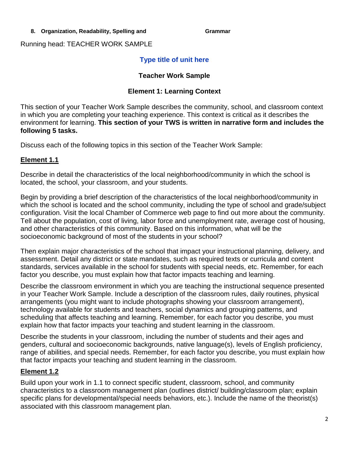### 8. Organization, Readability, Spelling and **Grammar**

Running head: TEACHER WORK SAMPLE

# **Type title of unit here**

### **Teacher Work Sample**

### **Element 1: Learning Context**

This section of your Teacher Work Sample describes the community, school, and classroom context in which you are completing your teaching experience. This context is critical as it describes the environment for learning. **This section of your TWS is written in narrative form and includes the following 5 tasks.**

Discuss each of the following topics in this section of the Teacher Work Sample:

# **Element 1.1**

Describe in detail the characteristics of the local neighborhood/community in which the school is located, the school, your classroom, and your students.

Begin by providing a brief description of the characteristics of the local neighborhood/community in which the school is located and the school community, including the type of school and grade/subject configuration. Visit the local Chamber of Commerce web page to find out more about the community. Tell about the population, cost of living, labor force and unemployment rate, average cost of housing, and other characteristics of this community. Based on this information, what will be the socioeconomic background of most of the students in your school?

Then explain major characteristics of the school that impact your instructional planning, delivery, and assessment. Detail any district or state mandates, such as required texts or curricula and content standards, services available in the school for students with special needs, etc. Remember, for each factor you describe, you must explain how that factor impacts teaching and learning.

Describe the classroom environment in which you are teaching the instructional sequence presented in your Teacher Work Sample. Include a description of the classroom rules, daily routines, physical arrangements (you might want to include photographs showing your classroom arrangement), technology available for students and teachers, social dynamics and grouping patterns, and scheduling that affects teaching and learning. Remember, for each factor you describe, you must explain how that factor impacts your teaching and student learning in the classroom.

Describe the students in your classroom, including the number of students and their ages and genders, cultural and socioeconomic backgrounds, native language(s), levels of English proficiency, range of abilities, and special needs. Remember, for each factor you describe, you must explain how that factor impacts your teaching and student learning in the classroom.

# **Element 1.2**

Build upon your work in 1.1 to connect specific student, classroom, school, and community characteristics to a classroom management plan (outlines district/ building/classroom plan; explain specific plans for developmental/special needs behaviors, etc.). Include the name of the theorist(s) associated with this classroom management plan.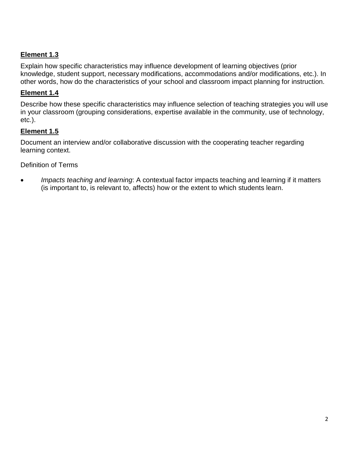# **Element 1.3**

Explain how specific characteristics may influence development of learning objectives (prior knowledge, student support, necessary modifications, accommodations and/or modifications, etc.). In other words, how do the characteristics of your school and classroom impact planning for instruction.

# **Element 1.4**

Describe how these specific characteristics may influence selection of teaching strategies you will use in your classroom (grouping considerations, expertise available in the community, use of technology, etc.).

# **Element 1.5**

Document an interview and/or collaborative discussion with the cooperating teacher regarding learning context.

# Definition of Terms

• *Impacts teaching and learning*: A contextual factor impacts teaching and learning if it matters (is important to, is relevant to, affects) how or the extent to which students learn.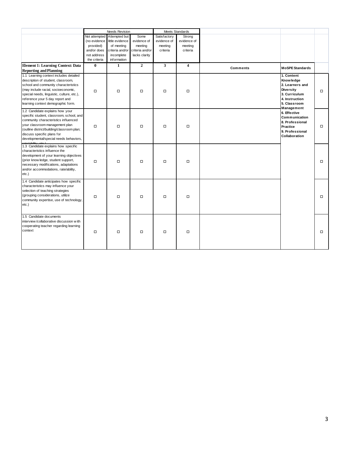|                                                                                                                                                                                                                                                                                    |              | Needs Revision              |                 | Meets Standards |                         |          |                                                                                                                          |        |
|------------------------------------------------------------------------------------------------------------------------------------------------------------------------------------------------------------------------------------------------------------------------------------|--------------|-----------------------------|-----------------|-----------------|-------------------------|----------|--------------------------------------------------------------------------------------------------------------------------|--------|
|                                                                                                                                                                                                                                                                                    |              | Not attempted Attempted but | Some            | Satisfactory    | Strong                  |          |                                                                                                                          |        |
|                                                                                                                                                                                                                                                                                    | (no evidence | little evidence             | evidence of     | evidence of     | evidence of             |          |                                                                                                                          |        |
|                                                                                                                                                                                                                                                                                    | provided)    | of meeting                  | meeting         | meeting         | meeting                 |          |                                                                                                                          |        |
|                                                                                                                                                                                                                                                                                    | and/or does  | criteria and/or             | criteria and/or | criteria        | criteria                |          |                                                                                                                          |        |
|                                                                                                                                                                                                                                                                                    | not address  | incomplete                  | lacks clarity   |                 |                         |          |                                                                                                                          |        |
|                                                                                                                                                                                                                                                                                    | the criteria | information                 |                 |                 |                         |          |                                                                                                                          |        |
| <b>Element 1: Learning Context: Data</b>                                                                                                                                                                                                                                           | $\mathbf{0}$ | $\mathbf{1}$                | $\overline{2}$  | $\mathbf{3}$    | $\overline{\mathbf{4}}$ | Comments | <b>MoSPE Standards</b>                                                                                                   |        |
| <b>Reporting and Planning</b>                                                                                                                                                                                                                                                      |              |                             |                 |                 |                         |          |                                                                                                                          |        |
| 1.1 Learning context includes detailed<br>description of student, classroom,<br>school and community characteristics<br>(may include racial, socioeconomic,<br>special needs, linguistic, culture, etc.),<br>reference your 5 day report and<br>learning context demographic form. | $\Box$       | $\Box$                      | $\Box$          | $\Box$          | $\Box$                  |          | 1. Content<br><b>Knowledge</b><br>2. Learners and<br><b>Diversity</b><br>3. Curriculum<br>4. Instruction<br>5. Classroom | $\Box$ |
| 1.2 Candidate explains how your<br>specific student, classroom, school, and<br>community characteristics influenced<br>your classroom management plan<br>(outline district/building/classroom plan;<br>discuss specific plans for<br>developmental/special needs behaviors,        | $\Box$       | $\Box$                      | $\Box$          | $\Box$          | $\Box$                  |          | Management<br>6. Effective<br><b>Communication</b><br>8. Professional<br>Practice<br>9. Professional<br>Collaboration    | $\Box$ |
| 1.3 Candidate explains how specific<br>characteristics influence the<br>development of your learning objectives<br>(prior know ledge, student support,<br>necessary modifications, adaptations<br>and/or accommodations, rate/ability,<br>etc.)                                    | $\Box$       | $\Box$                      | $\Box$          | $\Box$          | $\Box$                  |          |                                                                                                                          | $\Box$ |
| 1.4 Candidate anticipates how specific<br>characteristics may influence your<br>selection of teaching strategies<br>(grouping considerations, utilize<br>community expertise, use of technology,<br>$etc.$ )                                                                       | $\Box$       | $\Box$                      | $\Box$          | $\Box$          | $\Box$                  |          |                                                                                                                          | $\Box$ |
| 1.5 Candidate documents<br>interview/collaborative discussion with<br>cooperating teacher regarding learning<br>context                                                                                                                                                            | $\Box$       | $\Box$                      | $\Box$          | $\Box$          | $\Box$                  |          |                                                                                                                          | □      |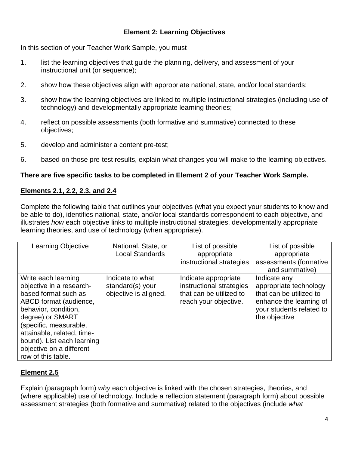# **Element 2: Learning Objectives**

In this section of your Teacher Work Sample, you must

- 1. list the learning objectives that guide the planning, delivery, and assessment of your instructional unit (or sequence);
- 2. show how these objectives align with appropriate national, state, and/or local standards;
- 3. show how the learning objectives are linked to multiple instructional strategies (including use of technology) and developmentally appropriate learning theories;
- 4. reflect on possible assessments (both formative and summative) connected to these objectives;
- 5. develop and administer a content pre-test;
- 6. based on those pre-test results, explain what changes you will make to the learning objectives.

# **There are five specific tasks to be completed in Element 2 of your Teacher Work Sample.**

# **Elements 2.1, 2.2, 2.3, and 2.4**

Complete the following table that outlines your objectives (what you expect your students to know and be able to do), identifies national, state, and/or local standards correspondent to each objective, and illustrates *how* each objective links to multiple instructional strategies, developmentally appropriate learning theories, and use of technology (when appropriate).

| <b>Learning Objective</b>  | National, State, or    | List of possible         | List of possible         |
|----------------------------|------------------------|--------------------------|--------------------------|
|                            | <b>Local Standards</b> | appropriate              | appropriate              |
|                            |                        | instructional strategies | assessments (formative   |
|                            |                        |                          | and summative)           |
| Write each learning        | Indicate to what       | Indicate appropriate     | Indicate any             |
| objective in a research-   | standard(s) your       | instructional strategies | appropriate technology   |
| based format such as       | objective is aligned.  | that can be utilized to  | that can be utilized to  |
| ABCD format (audience,     |                        | reach your objective.    | enhance the learning of  |
| behavior, condition,       |                        |                          | your students related to |
| degree) or SMART           |                        |                          | the objective            |
| (specific, measurable,     |                        |                          |                          |
| attainable, related, time- |                        |                          |                          |
| bound). List each learning |                        |                          |                          |
| objective on a different   |                        |                          |                          |
| row of this table.         |                        |                          |                          |

# **Element 2.5**

Explain (paragraph form) *why* each objective is linked with the chosen strategies, theories, and (where applicable) use of technology. Include a reflection statement (paragraph form) about possible assessment strategies (both formative and summative) related to the objectives (include *what*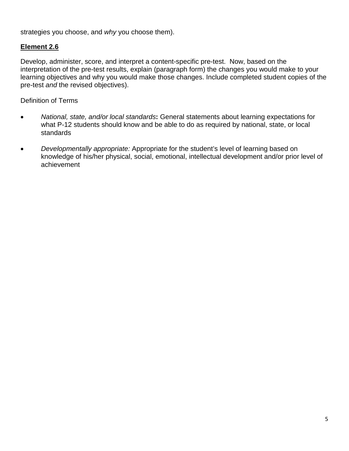strategies you choose, and *why* you choose them).

# **Element 2.6**

Develop, administer, score, and interpret a content-specific pre-test. Now, based on the interpretation of the pre-test results, explain (paragraph form) the changes you would make to your learning objectives and why you would make those changes. Include completed student copies of the pre-test *and* the revised objectives).

Definition of Terms

- *National, state, and/or local standards***:** General statements about learning expectations for what P-12 students should know and be able to do as required by national, state, or local standards
- *Developmentally appropriate:* Appropriate for the student's level of learning based on knowledge of his/her physical, social, emotional, intellectual development and/or prior level of achievement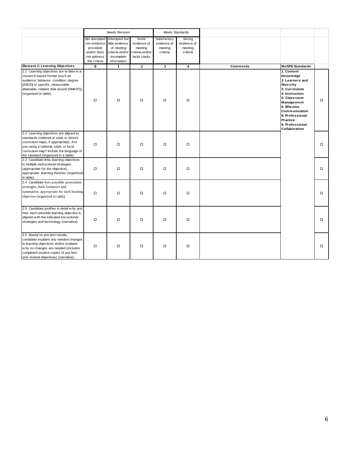|                                                                                                                                                                                                                                                         |                                                                                          | <b>Needs Revision</b>                                                                          |                                                                    | Meets Standards                                    |                                              |          |                                                                                                                                                                                                                                     |        |  |  |
|---------------------------------------------------------------------------------------------------------------------------------------------------------------------------------------------------------------------------------------------------------|------------------------------------------------------------------------------------------|------------------------------------------------------------------------------------------------|--------------------------------------------------------------------|----------------------------------------------------|----------------------------------------------|----------|-------------------------------------------------------------------------------------------------------------------------------------------------------------------------------------------------------------------------------------|--------|--|--|
|                                                                                                                                                                                                                                                         | Not attempted<br>(no evidence<br>provided)<br>and/or does<br>not address<br>the criteria | Attempted but<br>little evidence<br>of meeting<br>criteria and/or<br>incomplete<br>information | Some<br>evidence of<br>meeting<br>criteria and/or<br>lacks clarity | Satisfactory<br>evidence of<br>meeting<br>criteria | Strong<br>evidence of<br>meeting<br>criteria |          |                                                                                                                                                                                                                                     |        |  |  |
| <b>Element 2: Learning Objectives</b>                                                                                                                                                                                                                   | $\bf{0}$                                                                                 | 1                                                                                              | $\overline{2}$                                                     | $\overline{\mathbf{3}}$                            | $\overline{\mathbf{4}}$                      | Comments | <b>MoSPE Standards</b>                                                                                                                                                                                                              |        |  |  |
| 2.1 Learning objectives are w ritten in a<br>research-based format (such as<br>audience, behavior, condition, degree<br>[ABCD] or specific, measurable,<br>attainable, related, time-bound [SMART])<br>(organized in table).                            | $\Box$                                                                                   | $\Box$                                                                                         | $\Box$                                                             | $\Box$                                             | $\Box$                                       |          | 1. Content<br>Knowledge<br>2. Learners and<br><b>Diversity</b><br>3. Curriculum<br>4. Instruction<br>5. Classroom<br>Management<br>6. Effective<br>Communication<br>8. Professional<br>Practice<br>9. Professional<br>Collaboration | о      |  |  |
| 2.2 Learning objectives are aligned to<br>standards (national or state or district<br>curriculum maps, if appropriate). Are<br>you using a national, state, or local<br>curriculum map? Include the language of<br>the standard (organized in a table). | $\Box$                                                                                   | $\Box$                                                                                         | $\Box$                                                             | $\Box$                                             | $\Box$                                       |          |                                                                                                                                                                                                                                     | $\Box$ |  |  |
| 2.3 Candidate links learning objectives<br>to multiple instructional strategies<br>(appropriate for the objective),<br>appropriate learning theories (organized<br>in table).                                                                           | $\Box$                                                                                   | $\Box$                                                                                         | $\Box$                                                             | $\Box$                                             | $\Box$                                       |          |                                                                                                                                                                                                                                     | $\Box$ |  |  |
| 2.4 Candidate lists possible assessment<br>strategies, both formative and<br>summative, appropriate for each learning<br>objective (organized in table).                                                                                                | $\Box$                                                                                   | $\Box$                                                                                         | $\Box$                                                             | $\Box$                                             | $\Box$                                       |          |                                                                                                                                                                                                                                     | $\Box$ |  |  |
| 2.5 Candidate justifies in detail w hy and<br>how each possible learning objective is<br>aligned w ith the indicated insructional<br>strategies and technology (narrative).                                                                             | $\Box$                                                                                   | $\Box$                                                                                         | $\Box$                                                             | $\Box$                                             | $\Box$                                       |          |                                                                                                                                                                                                                                     | о      |  |  |
| 2.6 Based on pre-test results,<br>candidate explains any needed changes<br>to learning objectives and/or explains<br>why no changes are needed (includes<br>completed student copies of pre-test<br>and revised objectives) (narrative).                | $\Box$                                                                                   | $\Box$                                                                                         | $\Box$                                                             | $\Box$                                             | $\Box$                                       |          |                                                                                                                                                                                                                                     | $\Box$ |  |  |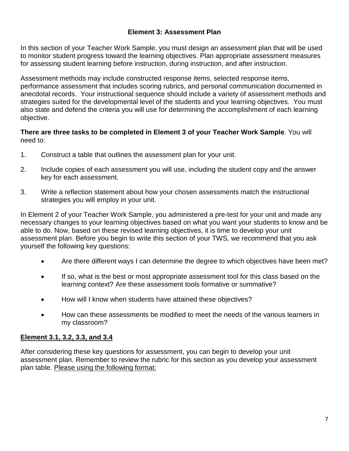# **Element 3: Assessment Plan**

In this section of your Teacher Work Sample, you must design an assessment plan that will be used to monitor student progress toward the learning objectives. Plan appropriate assessment measures for assessing student learning before instruction, during instruction, and after instruction.

Assessment methods may include constructed response items, selected response items, performance assessment that includes scoring rubrics, and personal communication documented in anecdotal records. Your instructional sequence should include a variety of assessment methods and strategies suited for the developmental level of the students and your learning objectives. You must also state and defend the criteria you will use for determining the accomplishment of each learning objective.

# **There are three tasks to be completed in Element 3 of your Teacher Work Sample**. You will need to:

- 1. Construct a table that outlines the assessment plan for your unit.
- 2. Include copies of each assessment you will use, including the student copy and the answer key for each assessment.
- 3. Write a reflection statement about how your chosen assessments match the instructional strategies you will employ in your unit.

In Element 2 of your Teacher Work Sample, you administered a pre-test for your unit and made any necessary changes to your learning objectives based on what you want your students to know and be able to do. Now, based on these revised learning objectives, it is time to develop your unit assessment plan. Before you begin to write this section of your TWS, we recommend that you ask yourself the following key questions:

- Are there different ways I can determine the degree to which objectives have been met?
- If so, what is the best or most appropriate assessment tool for this class based on the learning context? Are these assessment tools formative or summative?
- How will I know when students have attained these objectives?
- How can these assessments be modified to meet the needs of the various learners in my classroom?

# **Element 3.1, 3.2, 3.3, and 3.4**

After considering these key questions for assessment, you can begin to develop your unit assessment plan. Remember to review the rubric for this section as you develop your assessment plan table. Please using the following format: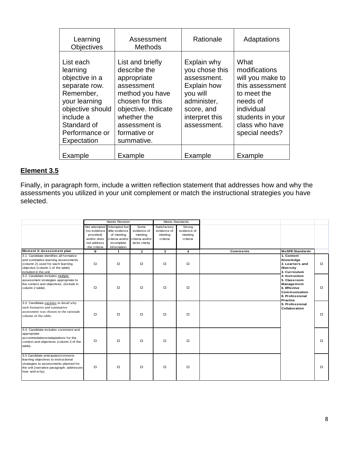| Learning<br><b>Objectives</b>                                                                                                                                           | Assessment<br><b>Methods</b>                                                                                                                                                             | Rationale                                                                                                                                    | Adaptations                                                                                                                                                   |
|-------------------------------------------------------------------------------------------------------------------------------------------------------------------------|------------------------------------------------------------------------------------------------------------------------------------------------------------------------------------------|----------------------------------------------------------------------------------------------------------------------------------------------|---------------------------------------------------------------------------------------------------------------------------------------------------------------|
| List each<br>learning<br>objective in a<br>separate row.<br>Remember,<br>your learning<br>objective should<br>include a<br>Standard of<br>Performance or<br>Expectation | List and briefly<br>describe the<br>appropriate<br>assessment<br>method you have<br>chosen for this<br>objective. Indicate<br>whether the<br>assessment is<br>formative or<br>summative. | Explain why<br>you chose this<br>assessment.<br><b>Explain how</b><br>you will<br>administer,<br>score, and<br>interpret this<br>assessment. | What<br>modifications<br>will you make to<br>this assessment<br>to meet the<br>needs of<br>individual<br>students in your<br>class who have<br>special needs? |
| Example                                                                                                                                                                 | Example                                                                                                                                                                                  | Example                                                                                                                                      | Example                                                                                                                                                       |

# **Element 3.5**

Finally, in paragraph form, include a written reflection statement that addresses how and why the assessments you utilized in your unit complement or match the instructional strategies you have selected.

|                                                                                                                                                                                  |                                                                         | <b>Needs Revision</b>                                                                     |                                                                                    | Meets Standards                                    |                                              |                                                                                                              |        |
|----------------------------------------------------------------------------------------------------------------------------------------------------------------------------------|-------------------------------------------------------------------------|-------------------------------------------------------------------------------------------|------------------------------------------------------------------------------------|----------------------------------------------------|----------------------------------------------|--------------------------------------------------------------------------------------------------------------|--------|
|                                                                                                                                                                                  | (no evidence<br>provided)<br>and/or does<br>not address<br>the criteria | Not attempted Attempted but<br>little evidence<br>of meeting<br>incomplete<br>information | Some<br>evidence of<br>meeting<br>criteria and/or criteria and/or<br>lacks clarity | Satisfactory<br>evidence of<br>meeting<br>criteria | Strong<br>evidence of<br>meeting<br>criteria |                                                                                                              |        |
| Element 3: Assessment plan                                                                                                                                                       | 0                                                                       | 1                                                                                         | $\overline{2}$                                                                     | 3                                                  | 4                                            | <b>Comments</b><br><b>MoSPE Standards</b>                                                                    |        |
| 3.1 Candidate identifies all formative<br>and summative learning assessments<br>(column 2) used for each learning<br>objective (column 1 of the table)<br>included in the unit.  | $\Box$                                                                  | о                                                                                         | $\Box$                                                                             | $\Box$                                             | $\Box$                                       | 1. Content<br><b>Knowledge</b><br>2. Learners and<br><b>Diversity</b><br>3. Curriculum                       | $\Box$ |
| 3.2 Candidate includes multiple<br>assessment strategies appropriate to<br>the context and objectives. (include in<br>column 2 table).                                           | $\Box$                                                                  | $\Box$                                                                                    | $\Box$                                                                             | $\Box$                                             | $\Box$                                       | 4. Instruction<br>5. Classroom<br>Management<br>6. Effective<br>Communication<br>8. Professional<br>Practice | $\Box$ |
| 3.3 Candidate explains in detail why<br>each formative and summative<br>assessment was chosen in the rationale<br>column of the table.                                           | $\Box$                                                                  | о                                                                                         | $\Box$                                                                             | $\Box$                                             | □                                            | 9. Professional<br>Collaboration                                                                             | $\Box$ |
| 3.4 Candidate includes consistent and<br>appropriate<br>accommodations/adaptations for the<br>context and objectives (column 3 of the<br>table).                                 | □                                                                       | о                                                                                         | $\Box$                                                                             | $\Box$                                             | $\Box$                                       |                                                                                                              | $\Box$ |
| 3.5 Candidate anticipates/connects<br>learning objectives to instructional<br>strategies to assessments planned for<br>the unit (narrative paragraph: addresses<br>how and why). | П                                                                       | $\Box$                                                                                    | $\Box$                                                                             | $\Box$                                             | $\Box$                                       |                                                                                                              | $\Box$ |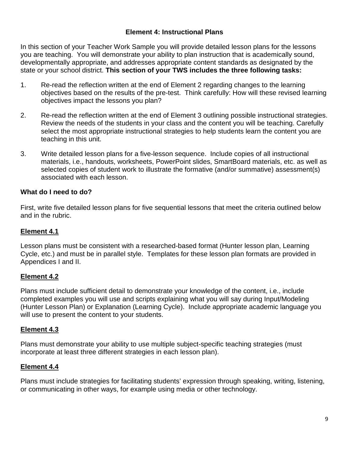### **Element 4: Instructional Plans**

In this section of your Teacher Work Sample you will provide detailed lesson plans for the lessons you are teaching. You will demonstrate your ability to plan instruction that is academically sound, developmentally appropriate, and addresses appropriate content standards as designated by the state or your school district. **This section of your TWS includes the three following tasks:**

- 1. Re-read the reflection written at the end of Element 2 regarding changes to the learning objectives based on the results of the pre-test. Think carefully: How will these revised learning objectives impact the lessons you plan?
- 2. Re-read the reflection written at the end of Element 3 outlining possible instructional strategies. Review the needs of the students in your class and the content you will be teaching. Carefully select the most appropriate instructional strategies to help students learn the content you are teaching in this unit.
- 3. Write detailed lesson plans for a five-lesson sequence. Include copies of all instructional materials, i.e., handouts, worksheets, PowerPoint slides, SmartBoard materials, etc. as well as selected copies of student work to illustrate the formative (and/or summative) assessment(s) associated with each lesson.

### **What do I need to do?**

First, write five detailed lesson plans for five sequential lessons that meet the criteria outlined below and in the rubric.

# **Element 4.1**

Lesson plans must be consistent with a researched-based format (Hunter lesson plan, Learning Cycle, etc.) and must be in parallel style. Templates for these lesson plan formats are provided in Appendices I and II.

# **Element 4.2**

Plans must include sufficient detail to demonstrate your knowledge of the content, i.e., include completed examples you will use and scripts explaining what you will say during Input/Modeling (Hunter Lesson Plan) or Explanation (Learning Cycle). Include appropriate academic language you will use to present the content to your students.

### **Element 4.3**

Plans must demonstrate your ability to use multiple subject-specific teaching strategies (must incorporate at least three different strategies in each lesson plan).

### **Element 4.4**

Plans must include strategies for facilitating students' expression through speaking, writing, listening, or communicating in other ways, for example using media or other technology.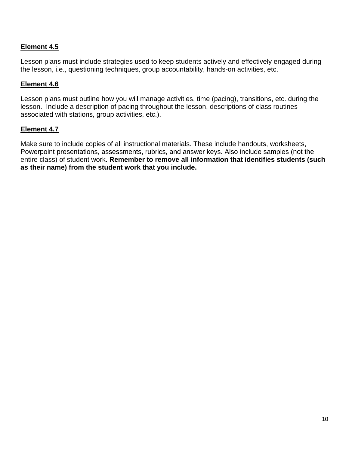# **Element 4.5**

Lesson plans must include strategies used to keep students actively and effectively engaged during the lesson, i.e., questioning techniques, group accountability, hands-on activities, etc.

### **Element 4.6**

Lesson plans must outline how you will manage activities, time (pacing), transitions, etc. during the lesson. Include a description of pacing throughout the lesson, descriptions of class routines associated with stations, group activities, etc.).

### **Element 4.7**

Make sure to include copies of all instructional materials. These include handouts, worksheets, Powerpoint presentations, assessments, rubrics, and answer keys. Also include samples (not the entire class) of student work. **Remember to remove all information that identifies students (such as their name) from the student work that you include.**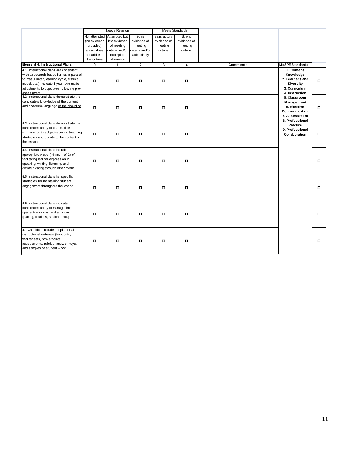|                                                                                                                                                                                                                                       |                                            | <b>Needs Revision</b>                                        |                                  | <b>Meets Standards</b>                 |                                  |          |                                                                                                          |        |
|---------------------------------------------------------------------------------------------------------------------------------------------------------------------------------------------------------------------------------------|--------------------------------------------|--------------------------------------------------------------|----------------------------------|----------------------------------------|----------------------------------|----------|----------------------------------------------------------------------------------------------------------|--------|
|                                                                                                                                                                                                                                       | (no evidence<br>provided)                  | Not attempted Attempted but<br>little evidence<br>of meeting | Some<br>evidence of<br>meeting   | Satisfactory<br>evidence of<br>meeting | Strong<br>evidence of<br>meeting |          |                                                                                                          |        |
|                                                                                                                                                                                                                                       | and/or does<br>not address<br>the criteria | criteria and/or<br>incomplete<br>information                 | criteria and/or<br>lacks clarity | criteria                               | criteria                         |          |                                                                                                          |        |
| <b>Eement 4: Instructional Plans</b>                                                                                                                                                                                                  | $\bf{0}$                                   | 1                                                            | $\mathbf{2}$                     | 3                                      | 4                                | Comments | <b>MoSPE Standards</b>                                                                                   |        |
| 4.1 Instructional plans are consistent<br>with a research-based format in parallel<br>format (Hunter, learning cycle, district<br>model, etc.). Indicate if you have made<br>adjustments to objectives follow ing pre-<br>assessment. | $\Box$                                     | $\Box$                                                       | $\Box$                           | $\Box$                                 | $\Box$                           |          | 1. Content<br><b>Knowledge</b><br>2. Learners and<br><b>Diversity</b><br>3. Curriculum<br>4. Instruction | $\Box$ |
| 4.2 Instructional plans demonstrate the<br>candidate's know ledge of the content<br>and academic language of the discipline                                                                                                           | $\Box$                                     | $\Box$                                                       | $\Box$                           | $\Box$                                 | $\Box$                           |          | 5. Classroom<br>Management<br>6. Effective<br>Communication<br>7. Assessment                             | $\Box$ |
| 4.3 Instructional plans demonstrate the<br>candidate's ability to use multiple<br>(minimum of 3) subject-specific teaching<br>strategies appropriate to the context of<br>the lesson.                                                 | $\Box$                                     | $\Box$                                                       | $\Box$                           | $\Box$                                 | $\Box$                           |          | 8. Professional<br>Practice<br>9. Professional<br>Collaboration                                          | $\Box$ |
| 4.4 Instructional plans include<br>appropriate w ays (minimum of 2) of<br>facilitating learner expression in<br>speaking, w riting, listening, and<br>communicating through other media.                                              | $\Box$                                     | $\Box$                                                       | $\Box$                           | $\Box$                                 | $\Box$                           |          |                                                                                                          | $\Box$ |
| 4.5 Instructional plans list specific<br>strategies for maintaining student<br>engagement throughout the lesson.                                                                                                                      | $\Box$                                     | $\Box$                                                       | $\Box$                           | $\Box$                                 | $\Box$                           |          |                                                                                                          | $\Box$ |
| 4.6 Instructional plans indicate<br>candidate's ability to manage time,<br>space, transitions, and activities<br>(pacing, routines, stations, etc.)                                                                                   | $\Box$                                     | $\Box$                                                       | $\Box$                           | $\Box$                                 | $\Box$                           |          |                                                                                                          | $\Box$ |
| 4.7 Candidate includes copies of all<br>instructional materials (handouts,<br>w orksheets, pow erpoints,<br>assessments, rubrics, answ er keys,<br>and samples of student w ork).                                                     | $\Box$                                     | $\Box$                                                       | $\Box$                           | $\Box$                                 | $\Box$                           |          |                                                                                                          | $\Box$ |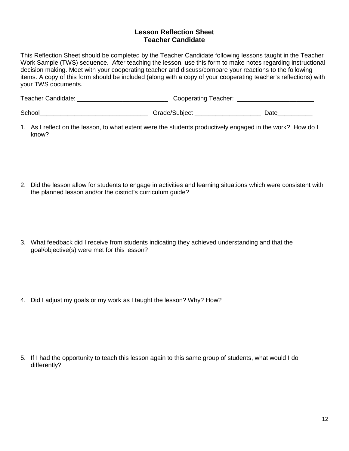### **Lesson Reflection Sheet Teacher Candidate**

This Reflection Sheet should be completed by the Teacher Candidate following lessons taught in the Teacher Work Sample (TWS) sequence. After teaching the lesson, use this form to make notes regarding instructional decision making. Meet with your cooperating teacher and discuss/compare your reactions to the following items. A copy of this form should be included (along with a copy of your cooperating teacher's reflections) with your TWS documents.

| Teacher Candidate: | <b>Cooperating Teacher:</b> |      |
|--------------------|-----------------------------|------|
| School             | Grade/Subject               | Date |

- 1. As I reflect on the lesson, to what extent were the students productively engaged in the work? How do I know?
- 2. Did the lesson allow for students to engage in activities and learning situations which were consistent with the planned lesson and/or the district's curriculum guide?
- 3. What feedback did I receive from students indicating they achieved understanding and that the goal/objective(s) were met for this lesson?
- 4. Did I adjust my goals or my work as I taught the lesson? Why? How?

5. If I had the opportunity to teach this lesson again to this same group of students, what would I do differently?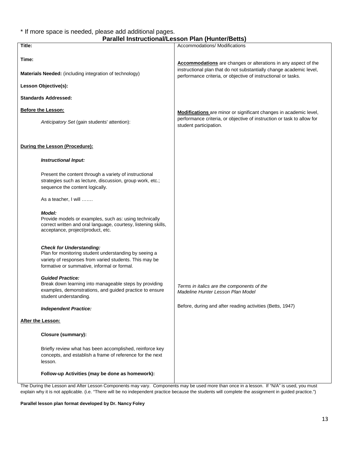#### \* If more space is needed, please add additional pages. **Parallel Instructional/Lesson Plan (Hunter/Betts)**

|                                                                                                                                                                                                   | arangi msu ucubnar Lesson Tian (Tianter/Detts)                                                                                               |
|---------------------------------------------------------------------------------------------------------------------------------------------------------------------------------------------------|----------------------------------------------------------------------------------------------------------------------------------------------|
| Title:                                                                                                                                                                                            | Accommodations/ Modifications                                                                                                                |
| Time:                                                                                                                                                                                             | <b>Accommodations</b> are changes or alterations in any aspect of the<br>instructional plan that do not substantially change academic level, |
| <b>Materials Needed:</b> (including integration of technology)                                                                                                                                    | performance criteria, or objective of instructional or tasks.                                                                                |
| Lesson Objective(s):                                                                                                                                                                              |                                                                                                                                              |
| <b>Standards Addressed:</b>                                                                                                                                                                       |                                                                                                                                              |
| <b>Before the Lesson:</b>                                                                                                                                                                         | Modifications are minor or significant changes in academic level,                                                                            |
| Anticipatory Set (gain students' attention):                                                                                                                                                      | performance criteria, or objective of instruction or task to allow for<br>student participation.                                             |
| During the Lesson (Procedure):                                                                                                                                                                    |                                                                                                                                              |
| <b>Instructional Input:</b>                                                                                                                                                                       |                                                                                                                                              |
| Present the content through a variety of instructional<br>strategies such as lecture, discussion, group work, etc.;<br>sequence the content logically.                                            |                                                                                                                                              |
| As a teacher, I will                                                                                                                                                                              |                                                                                                                                              |
| <b>Model:</b><br>Provide models or examples, such as: using technically<br>correct written and oral language, courtesy, listening skills,<br>acceptance, project/product, etc.                    |                                                                                                                                              |
| <b>Check for Understanding:</b><br>Plan for monitoring student understanding by seeing a<br>variety of responses from varied students. This may be<br>formative or summative, informal or formal. |                                                                                                                                              |
| <b>Guided Practice:</b><br>Break down learning into manageable steps by providing<br>examples, demonstrations, and guided practice to ensure<br>student understanding.                            | Terms in italics are the components of the<br>Madeline Hunter Lesson Plan Model                                                              |
| <b>Independent Practice:</b>                                                                                                                                                                      | Before, during and after reading activities (Betts, 1947)                                                                                    |
| After the Lesson:                                                                                                                                                                                 |                                                                                                                                              |
| <b>Closure (summary):</b>                                                                                                                                                                         |                                                                                                                                              |
| Briefly review what has been accomplished, reinforce key<br>concepts, and establish a frame of reference for the next<br>lesson.                                                                  |                                                                                                                                              |
| Follow-up Activities (may be done as homework):                                                                                                                                                   |                                                                                                                                              |

The During the Lesson and After Lesson Components may vary. Components may be used more than once in a lesson. If "N/A" is used, you must explain why it is not applicable. (i.e. "There will be no independent practice because the students will complete the assignment in guided practice.")

#### **Parallel lesson plan format developed by Dr. Nancy Foley**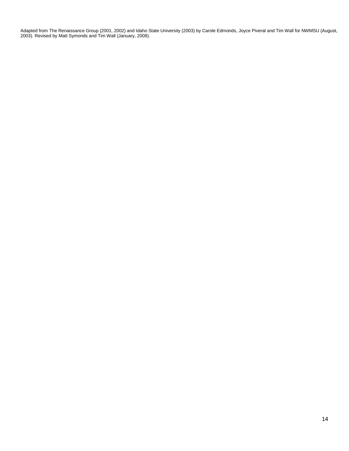Adapted from The Renaissance Group (2001, 2002) and Idaho State University (2003) by Carole Edmonds, Joyce Piveral and Tim Wall for NWMSU (August, 2003). Revised by Matt Symonds and Tim Wall (January, 2008).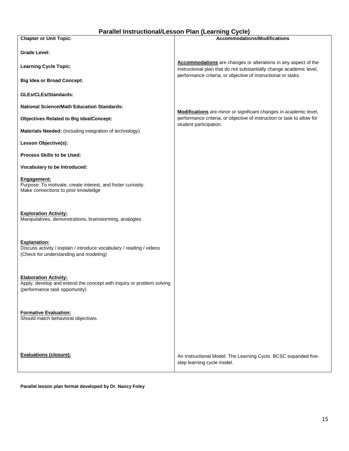| Parallel Instructional/Lesson Plan (Learning Cycle) |  |  |  |
|-----------------------------------------------------|--|--|--|
|-----------------------------------------------------|--|--|--|

| <b>Chapter or Unit Topic:</b>                                                                                                           | <b>Accommodations/Modifications</b>                                                                                                   |
|-----------------------------------------------------------------------------------------------------------------------------------------|---------------------------------------------------------------------------------------------------------------------------------------|
| <b>Grade Level:</b>                                                                                                                     |                                                                                                                                       |
| <b>Learning Cycle Topic:</b>                                                                                                            | Accommodations are changes or alterations in any aspect of the<br>instructional plan that do not substantially change academic level, |
| <b>Big Idea or Broad Concept:</b>                                                                                                       | performance criteria, or objective of instructional or tasks.                                                                         |
| <b>GLEs/CLEs/Standards:</b>                                                                                                             |                                                                                                                                       |
| <b>National Science/Math Education Standards:</b>                                                                                       | Modifications are minor or significant changes in academic level,                                                                     |
| <b>Objectives Related to Big Idea/Concept:</b>                                                                                          | performance criteria, or objective of instruction or task to allow for<br>student participation.                                      |
| Materials Needed: (including integration of technology)                                                                                 |                                                                                                                                       |
| Lesson Objective(s):                                                                                                                    |                                                                                                                                       |
| <b>Process Skills to be Used:</b>                                                                                                       |                                                                                                                                       |
| Vocabulary to be Introduced:                                                                                                            |                                                                                                                                       |
| Engagement:<br>Purpose: To motivate, create interest, and foster curiosity.<br>Make connections to prior knowledge                      |                                                                                                                                       |
| <b>Exploration Activity:</b><br>Manipulatives, demonstrations, brainstorming, analogies                                                 |                                                                                                                                       |
| <b>Explanation:</b><br>Discuss activity / explain / introduce vocabulary / reading / videos<br>(Check for understanding and modeling)   |                                                                                                                                       |
| <b>Elaboration Activity:</b><br>Apply, develop and extend the concept with inquiry or problem solving<br>(performance task opportunity) |                                                                                                                                       |
| <b>Formative Evaluation:</b><br>Should match behavioral objectives.                                                                     |                                                                                                                                       |
| <b>Evaluations (closure):</b>                                                                                                           | An Instructional Model: The Learning Cycle. BCSC expanded five-<br>step learning cycle model.                                         |

**Parallel lesson plan format developed by Dr. Nancy Foley**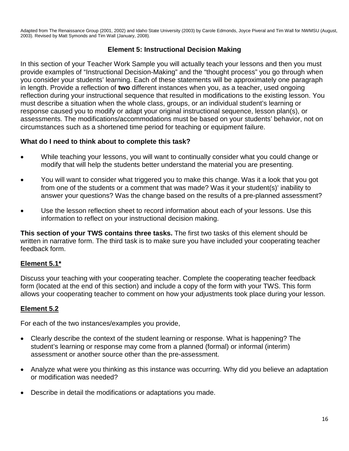Adapted from The Renaissance Group (2001, 2002) and Idaho State University (2003) by Carole Edmonds, Joyce Piveral and Tim Wall for NWMSU (August, 2003). Revised by Matt Symonds and Tim Wall (January, 2008).

# **Element 5: Instructional Decision Making**

In this section of your Teacher Work Sample you will actually teach your lessons and then you must provide examples of "Instructional Decision-Making" and the "thought process" you go through when you consider your students' learning. Each of these statements will be approximately one paragraph in length. Provide a reflection of **two** different instances when you, as a teacher, used ongoing reflection during your instructional sequence that resulted in modifications to the existing lesson. You must describe a situation when the whole class, groups, or an individual student's learning or response caused you to modify or adapt your original instructional sequence, lesson plan(s), or assessments. The modifications/accommodations must be based on your students' behavior, not on circumstances such as a shortened time period for teaching or equipment failure.

# **What do I need to think about to complete this task?**

- While teaching your lessons, you will want to continually consider what you could change or modify that will help the students better understand the material you are presenting.
- You will want to consider what triggered you to make this change. Was it a look that you got from one of the students or a comment that was made? Was it your student(s)' inability to answer your questions? Was the change based on the results of a pre-planned assessment?
- Use the lesson reflection sheet to record information about each of your lessons. Use this information to reflect on your instructional decision making.

**This section of your TWS contains three tasks.** The first two tasks of this element should be written in narrative form. The third task is to make sure you have included your cooperating teacher feedback form.

# **Element 5.1\***

Discuss your teaching with your cooperating teacher. Complete the cooperating teacher feedback form (located at the end of this section) and include a copy of the form with your TWS. This form allows your cooperating teacher to comment on how your adjustments took place during your lesson.

# **Element 5.2**

For each of the two instances/examples you provide,

- Clearly describe the context of the student learning or response. What is happening? The student's learning or response may come from a planned (formal) or informal (interim) assessment or another source other than the pre-assessment.
- Analyze what were you thinking as this instance was occurring. Why did you believe an adaptation or modification was needed?
- Describe in detail the modifications or adaptations you made.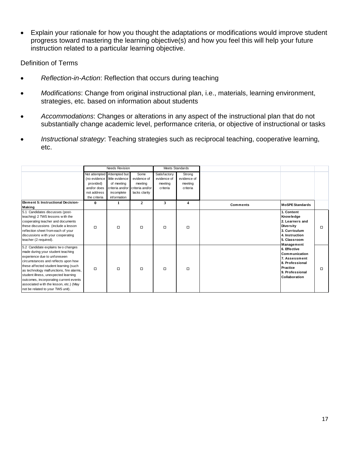• Explain your rationale for how you thought the adaptations or modifications would improve student progress toward mastering the learning objective(s) and how you feel this will help your future instruction related to a particular learning objective.

Definition of Terms

- *Reflection-in-Action*: Reflection that occurs during teaching
- *Modifications*: Change from original instructional plan, i.e., materials, learning environment, strategies, etc. based on information about students
- *Accommodations*: Changes or alterations in any aspect of the instructional plan that do not substantially change academic level, performance criteria, or objective of instructional or tasks
- *Instructional strategy*: Teaching strategies such as reciprocal teaching, cooperative learning, etc.

|                                                                                                                                                                                                                                                                                                                                                                                                      | Needs Revision                                                          |                                                                                                              |                                                                    | Meets Standards                                    |                                              |                 |                                                                                                                                                                                                                                                      |        |
|------------------------------------------------------------------------------------------------------------------------------------------------------------------------------------------------------------------------------------------------------------------------------------------------------------------------------------------------------------------------------------------------------|-------------------------------------------------------------------------|--------------------------------------------------------------------------------------------------------------|--------------------------------------------------------------------|----------------------------------------------------|----------------------------------------------|-----------------|------------------------------------------------------------------------------------------------------------------------------------------------------------------------------------------------------------------------------------------------------|--------|
|                                                                                                                                                                                                                                                                                                                                                                                                      | (no evidence<br>provided)<br>and/or does<br>not address<br>the criteria | Not attempted Attempted but<br>little evidence<br>of meeting<br>criteria and/or<br>incomplete<br>information | Some<br>evidence of<br>meeting<br>criteria and/or<br>lacks clarity | Satisfactory<br>evidence of<br>meeting<br>criteria | Strong<br>evidence of<br>meeting<br>criteria |                 |                                                                                                                                                                                                                                                      |        |
| <b>Eement 5: Instructional Decision-</b><br>Making                                                                                                                                                                                                                                                                                                                                                   | $\mathbf{0}$                                                            | 1                                                                                                            | $\overline{2}$                                                     | 3                                                  | 4                                            | <b>Comments</b> | <b>MoSPE Standards</b>                                                                                                                                                                                                                               |        |
| 5.1 Candidates discusses (post-<br>teaching) 2 TWS lessons with the<br>cooperating teacher and documents<br>these discussions (include a lesson<br>reflection sheet from each of your<br>discussions with your cooperating<br>teacher (2 required).                                                                                                                                                  | $\Box$                                                                  | $\Box$                                                                                                       | $\Box$                                                             | $\Box$                                             | $\Box$                                       |                 | 1. Content<br>Knowledge<br>2. Learners and<br><b>Diversity</b><br>3. Curriculum<br>4. Instruction<br>5. Classroom<br>Management<br>6. Effective<br>Communication<br>7. Assessment<br>8. Professional<br>Practice<br>9. Professional<br>Collaboration | $\Box$ |
| 5.2 Candidate explains two changes<br>made during your student teaching<br>experience due to unforeseen<br>circumstances and reflects upon how<br>these affected student learning (such<br>as technology malfunctions, fire alarms,<br>student illness, unexpected learning<br>outcomes, incorporating current events<br>associated with the lesson, etc.) (May<br>not be related to your TWS unit). | $\Box$                                                                  | $\Box$                                                                                                       | $\Box$                                                             | $\Box$                                             | $\Box$                                       |                 |                                                                                                                                                                                                                                                      | □      |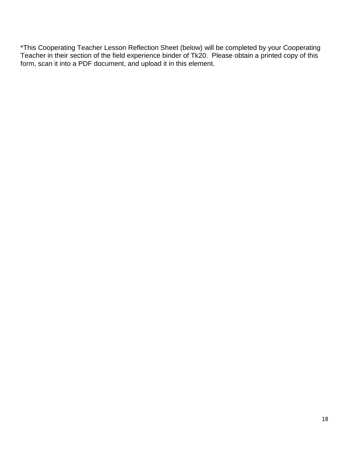\*This Cooperating Teacher Lesson Reflection Sheet (below) will be completed by your Cooperating Teacher in their section of the field experience binder of Tk20. Please obtain a printed copy of this form, scan it into a PDF document, and upload it in this element.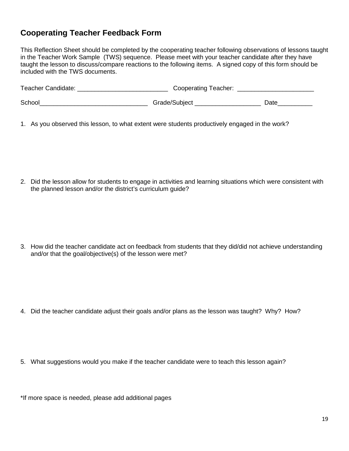# **Cooperating Teacher Feedback Form**

This Reflection Sheet should be completed by the cooperating teacher following observations of lessons taught in the Teacher Work Sample (TWS) sequence. Please meet with your teacher candidate after they have taught the lesson to discuss/compare reactions to the following items. A signed copy of this form should be included with the TWS documents.

| <b>Teacher Candidate:</b> | Cooperating Teacher: |      |
|---------------------------|----------------------|------|
| School                    | Grade/Subject        | Date |

1. As you observed this lesson, to what extent were students productively engaged in the work?

2. Did the lesson allow for students to engage in activities and learning situations which were consistent with the planned lesson and/or the district's curriculum guide?

3. How did the teacher candidate act on feedback from students that they did/did not achieve understanding and/or that the goal/objective(s) of the lesson were met?

- 4. Did the teacher candidate adjust their goals and/or plans as the lesson was taught? Why? How?
- 5. What suggestions would you make if the teacher candidate were to teach this lesson again?

\*If more space is needed, please add additional pages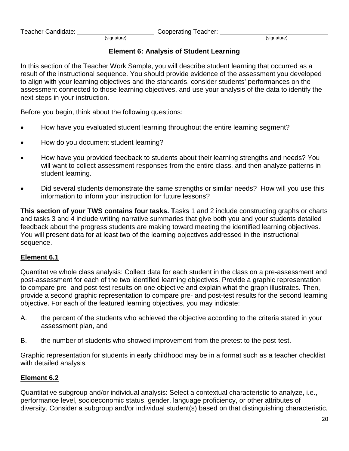Teacher Candidate: <u>Cooperating Teacher:</u> Cooperating Teacher: <u>Cooperating Teacher:</u> (signature)

# **Element 6: Analysis of Student Learning**

In this section of the Teacher Work Sample, you will describe student learning that occurred as a result of the instructional sequence. You should provide evidence of the assessment you developed to align with your learning objectives and the standards, consider students' performances on the assessment connected to those learning objectives, and use your analysis of the data to identify the next steps in your instruction.

Before you begin, think about the following questions:

- How have you evaluated student learning throughout the entire learning segment?
- How do you document student learning?
- How have you provided feedback to students about their learning strengths and needs? You will want to collect assessment responses from the entire class, and then analyze patterns in student learning.
- Did several students demonstrate the same strengths or similar needs? How will you use this information to inform your instruction for future lessons?

**This section of your TWS contains four tasks. T**asks 1 and 2 include constructing graphs or charts and tasks 3 and 4 include writing narrative summaries that give both you and your students detailed feedback about the progress students are making toward meeting the identified learning objectives. You will present data for at least two of the learning objectives addressed in the instructional sequence.

# **Element 6.1**

Quantitative whole class analysis: Collect data for each student in the class on a pre-assessment and post-assessment for each of the two identified learning objectives. Provide a graphic representation to compare pre- and post-test results on one objective and explain what the graph illustrates. Then, provide a second graphic representation to compare pre- and post-test results for the second learning objective. For each of the featured learning objectives, you may indicate:

- A. the percent of the students who achieved the objective according to the criteria stated in your assessment plan, and
- B. the number of students who showed improvement from the pretest to the post-test.

Graphic representation for students in early childhood may be in a format such as a teacher checklist with detailed analysis.

# **Element 6.2**

Quantitative subgroup and/or individual analysis: Select a contextual characteristic to analyze, i.e., performance level, socioeconomic status, gender, language proficiency, or other attributes of diversity. Consider a subgroup and/or individual student(s) based on that distinguishing characteristic,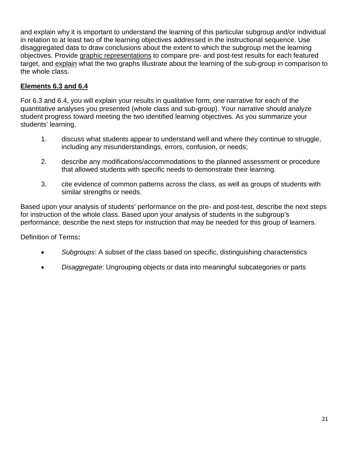and explain why it is important to understand the learning of this particular subgroup and/or individual in relation to at least two of the learning objectives addressed in the instructional sequence. Use disaggregated data to draw conclusions about the extent to which the subgroup met the learning objectives. Provide graphic representations to compare pre- and post-test results for each featured target, and explain what the two graphs illustrate about the learning of the sub-group in comparison to the whole class.

# **Elements 6.3 and 6.4**

For 6.3 and 6.4, you will explain your results in qualitative form, one narrative for each of the quantitative analyses you presented (whole class and sub-group). Your narrative should analyze student progress toward meeting the two identified learning objectives. As you summarize your students' learning,

- 1. discuss what students appear to understand well and where they continue to struggle, including any misunderstandings, errors, confusion, or needs;
- 2. describe any modifications/accommodations to the planned assessment or procedure that allowed students with specific needs to demonstrate their learning.
- 3. cite evidence of common patterns across the class, as well as groups of students with similar strengths or needs.

Based upon your analysis of students' performance on the pre- and post-test, describe the next steps for instruction of the whole class. Based upon your analysis of students in the subgroup's performance, describe the next steps for instruction that may be needed for this group of learners.

Definition of Terms**:**

- *Subgroups*: A subset of the class based on specific, distinguishing characteristics
- *Disaggregate*: Ungrouping objects or data into meaningful subcategories or parts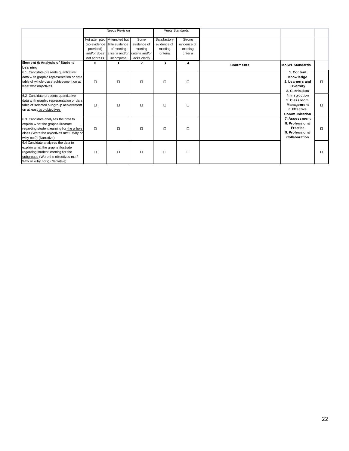|                                                                                                                                                                                          | <b>Needs Revision</b>                                   |                                                                            |                                                                                    | Meets Standards                                    |                                              |                 |                                                                                                                                                                   |        |
|------------------------------------------------------------------------------------------------------------------------------------------------------------------------------------------|---------------------------------------------------------|----------------------------------------------------------------------------|------------------------------------------------------------------------------------|----------------------------------------------------|----------------------------------------------|-----------------|-------------------------------------------------------------------------------------------------------------------------------------------------------------------|--------|
|                                                                                                                                                                                          | (no evidence<br>provided)<br>and/or does<br>not address | Not attempted Attempted but<br>little evidence<br>of meeting<br>incomplete | Some<br>evidence of<br>meeting<br>criteria and/or criteria and/or<br>lacks clarity | Satisfactory<br>evidence of<br>meeting<br>criteria | Strong<br>evidence of<br>meeting<br>criteria |                 |                                                                                                                                                                   |        |
| Element 6: Analysis of Student<br>Learning                                                                                                                                               | $\bf{0}$                                                | 1                                                                          | $\overline{2}$                                                                     | 3                                                  | $\overline{4}$                               | <b>Comments</b> | <b>MoSPE Standards</b>                                                                                                                                            |        |
| 6.1 Candidate presents quantitative<br>data with graphic representation or data<br>table of whole class achievement on at<br>least two objectives                                        | $\Box$                                                  | $\Box$                                                                     | $\Box$                                                                             | $\Box$                                             | $\Box$                                       |                 | 1. Content<br><b>Knowledge</b><br>2. Learners and<br><b>Diversity</b><br>3. Curriculum                                                                            | $\Box$ |
| 6.2 Candidate presents quantitative<br>data w ith graphic representation or data<br>table of selected subgroup achievement<br>on at least two objectives                                 | $\Box$                                                  | $\Box$                                                                     | $\Box$                                                                             | $\Box$                                             | $\Box$                                       |                 | 4. Instruction<br>5. Classroom<br>Management<br>6. Effective<br>Communication<br>7. Assessment<br>8. Professional<br>Practice<br>9. Professional<br>Collaboration | $\Box$ |
| 6.3 Candidate analyzes the data to<br>explain w hat the graphs illustrate<br>regarding student learning for the whole<br>class (Were the objectives met? Why or<br>why not?) (Narrative) | $\Box$                                                  | $\Box$                                                                     | $\Box$                                                                             | $\Box$                                             | $\Box$                                       |                 |                                                                                                                                                                   | $\Box$ |
| 6.4 Candidate analyzes the data to<br>explain w hat the graphs illustrate<br>regarding student learning for the<br>subgroups (Were the objectives met?<br>Why or w hy not?) (Narrative)  | □                                                       | $\Box$                                                                     | $\Box$                                                                             | $\Box$                                             | $\Box$                                       |                 |                                                                                                                                                                   | $\Box$ |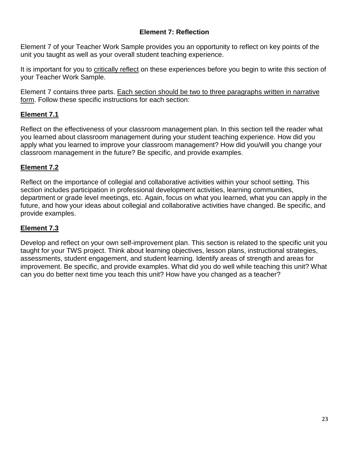# **Element 7: Reflection**

Element 7 of your Teacher Work Sample provides you an opportunity to reflect on key points of the unit you taught as well as your overall student teaching experience.

It is important for you to critically reflect on these experiences before you begin to write this section of your Teacher Work Sample.

Element 7 contains three parts. Each section should be two to three paragraphs written in narrative form. Follow these specific instructions for each section:

# **Element 7.1**

Reflect on the effectiveness of your classroom management plan. In this section tell the reader what you learned about classroom management during your student teaching experience. How did you apply what you learned to improve your classroom management? How did you/will you change your classroom management in the future? Be specific, and provide examples.

# **Element 7.2**

Reflect on the importance of collegial and collaborative activities within your school setting. This section includes participation in professional development activities, learning communities, department or grade level meetings, etc. Again, focus on what you learned, what you can apply in the future, and how your ideas about collegial and collaborative activities have changed. Be specific, and provide examples.

# **Element 7.3**

Develop and reflect on your own self-improvement plan. This section is related to the specific unit you taught for your TWS project. Think about learning objectives, lesson plans, instructional strategies, assessments, student engagement, and student learning. Identify areas of strength and areas for improvement. Be specific, and provide examples. What did you do well while teaching this unit? What can you do better next time you teach this unit? How have you changed as a teacher?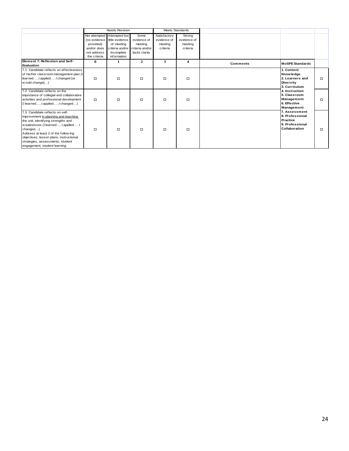|                                                                                                                                                                                                                                                                                                                       | <b>Needs Revision</b>                                   |                                                                                                                                           |                                                 | Meets Standards                                    |                                              |          |                                                                                                                                                                       |        |
|-----------------------------------------------------------------------------------------------------------------------------------------------------------------------------------------------------------------------------------------------------------------------------------------------------------------------|---------------------------------------------------------|-------------------------------------------------------------------------------------------------------------------------------------------|-------------------------------------------------|----------------------------------------------------|----------------------------------------------|----------|-----------------------------------------------------------------------------------------------------------------------------------------------------------------------|--------|
|                                                                                                                                                                                                                                                                                                                       | provided)<br>and/or does<br>not address<br>the criteria | Not attempted Attempted but<br>(no evidence little evidence<br>of meeting<br>criteria and/or criteria and/or<br>incomplete<br>information | Some<br>evidence of<br>meeting<br>lacks clarity | Satisfactory<br>evidence of<br>meeting<br>criteria | Strong<br>evidence of<br>meeting<br>criteria |          |                                                                                                                                                                       |        |
| Element 7: Reflection and Self-<br>Evaluation                                                                                                                                                                                                                                                                         | $\bf{0}$                                                | 1                                                                                                                                         | $\mathbf{2}$                                    | 3                                                  | $\overline{\mathbf{4}}$                      | Comments | <b>MoSPE Standards</b>                                                                                                                                                |        |
| 7.1 Candidate reflects on effectiveness<br>of his/her classroom management plan (I<br>learnedI appliedI changed [or<br>w ould change])                                                                                                                                                                                | $\Box$                                                  | $\Box$                                                                                                                                    | $\Box$                                          | $\Box$                                             | $\Box$                                       |          | 1. Content<br><b>Knowledge</b><br>2. Learners and<br><b>Diversity</b><br>3. Curriculum                                                                                | □      |
| 7.2 Candidate reflects on the<br>importance of collegial and collaborative<br>activities and professional development<br>(I learnedI appliedI changed)                                                                                                                                                                | $\Box$                                                  | $\Box$                                                                                                                                    | $\Box$                                          | $\Box$                                             | $\Box$                                       |          | 4. Instruction<br>5. Classroom<br>Management<br>6. Effective<br>Management<br>7. Assessment<br>8. Professional<br>Practice<br>9. Professional<br><b>Collaboration</b> | □      |
| 7.3 Candidate reflects on self-<br>improvement in planning and teaching<br>the unit, identifying strengths and<br>weaknesses (I learnedI appliedI<br>changed)<br>Address at least 2 of the follow ing:<br>objectives, lesson plans, instructional<br>strategies, assessments, student<br>engagement, student learning | $\Box$                                                  | $\Box$                                                                                                                                    | $\Box$                                          | $\Box$                                             | $\Box$                                       |          |                                                                                                                                                                       | $\Box$ |